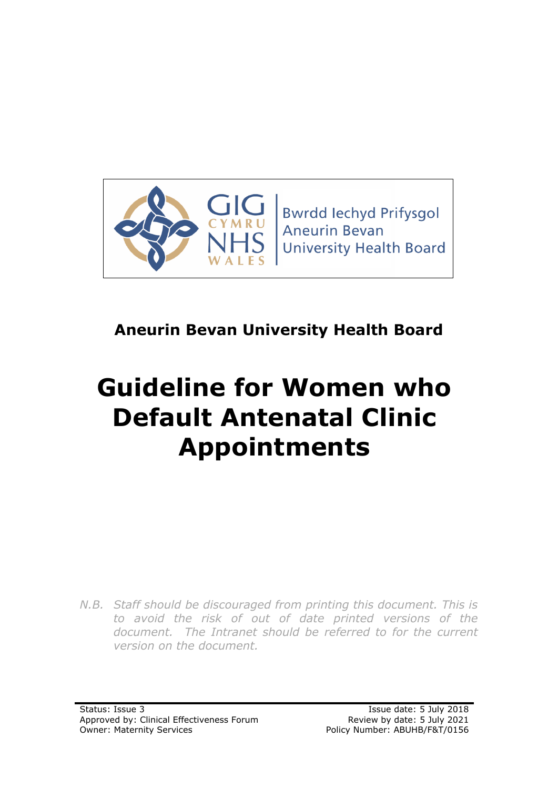

# **Aneurin Bevan University Health Board**

# **Guideline for Women who Default Antenatal Clinic Appointments**

*N.B. Staff should be discouraged from printing this document. This is to avoid the risk of out of date printed versions of the*  document. The Intranet should be referred to for the current *version on the document.*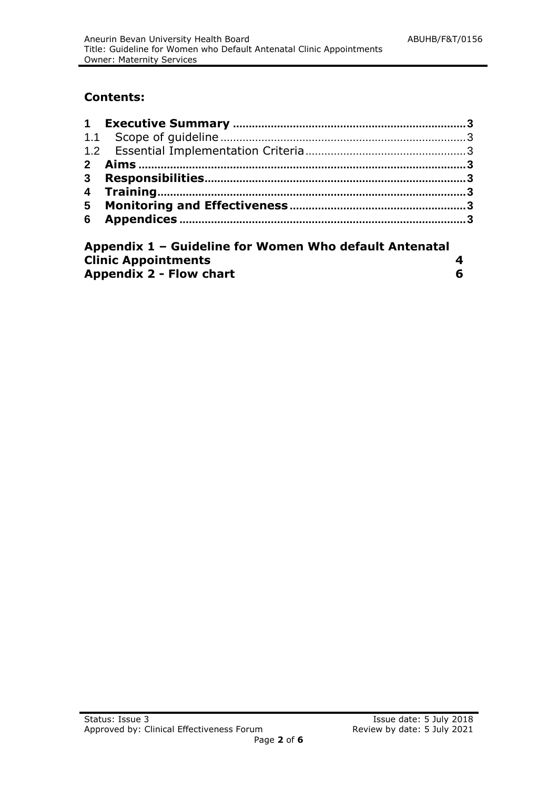# **Contents:**

| Appendix 1 - Guideline for Women Who default Antenatal |  |  |
|--------------------------------------------------------|--|--|
| <b>Clinic Appointments</b>                             |  |  |

| <b>Appendix 2 - Flow chart</b> |  |
|--------------------------------|--|
|--------------------------------|--|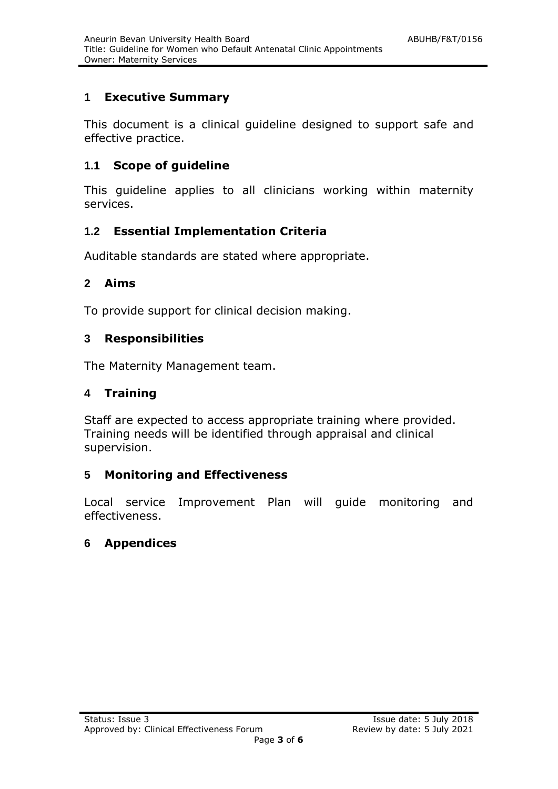### **1 Executive Summary**

This document is a clinical guideline designed to support safe and effective practice.

#### **1.1 Scope of guideline**

This guideline applies to all clinicians working within maternity services.

#### **1.2 Essential Implementation Criteria**

Auditable standards are stated where appropriate.

#### **2 Aims**

To provide support for clinical decision making.

#### **3 Responsibilities**

The Maternity Management team.

#### **4 Training**

Staff are expected to access appropriate training where provided. Training needs will be identified through appraisal and clinical supervision.

#### **5 Monitoring and Effectiveness**

Local service Improvement Plan will guide monitoring and effectiveness.

#### **6 Appendices**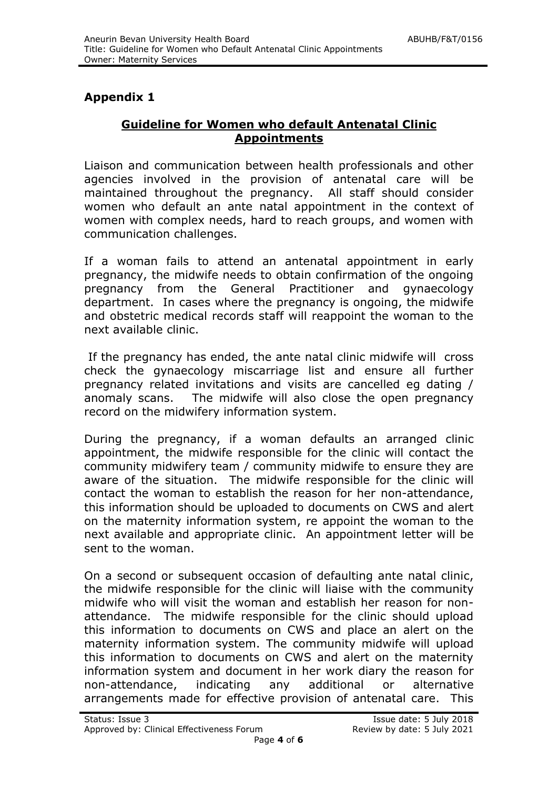# **Appendix 1**

#### **Guideline for Women who default Antenatal Clinic Appointments**

Liaison and communication between health professionals and other agencies involved in the provision of antenatal care will be maintained throughout the pregnancy. All staff should consider women who default an ante natal appointment in the context of women with complex needs, hard to reach groups, and women with communication challenges.

If a woman fails to attend an antenatal appointment in early pregnancy, the midwife needs to obtain confirmation of the ongoing pregnancy from the General Practitioner and gynaecology department. In cases where the pregnancy is ongoing, the midwife and obstetric medical records staff will reappoint the woman to the next available clinic.

If the pregnancy has ended, the ante natal clinic midwife will cross check the gynaecology miscarriage list and ensure all further pregnancy related invitations and visits are cancelled eg dating / anomaly scans. The midwife will also close the open pregnancy record on the midwifery information system.

During the pregnancy, if a woman defaults an arranged clinic appointment, the midwife responsible for the clinic will contact the community midwifery team / community midwife to ensure they are aware of the situation. The midwife responsible for the clinic will contact the woman to establish the reason for her non-attendance, this information should be uploaded to documents on CWS and alert on the maternity information system, re appoint the woman to the next available and appropriate clinic. An appointment letter will be sent to the woman.

On a second or subsequent occasion of defaulting ante natal clinic, the midwife responsible for the clinic will liaise with the community midwife who will visit the woman and establish her reason for nonattendance. The midwife responsible for the clinic should upload this information to documents on CWS and place an alert on the maternity information system. The community midwife will upload this information to documents on CWS and alert on the maternity information system and document in her work diary the reason for non-attendance, indicating any additional or alternative arrangements made for effective provision of antenatal care. This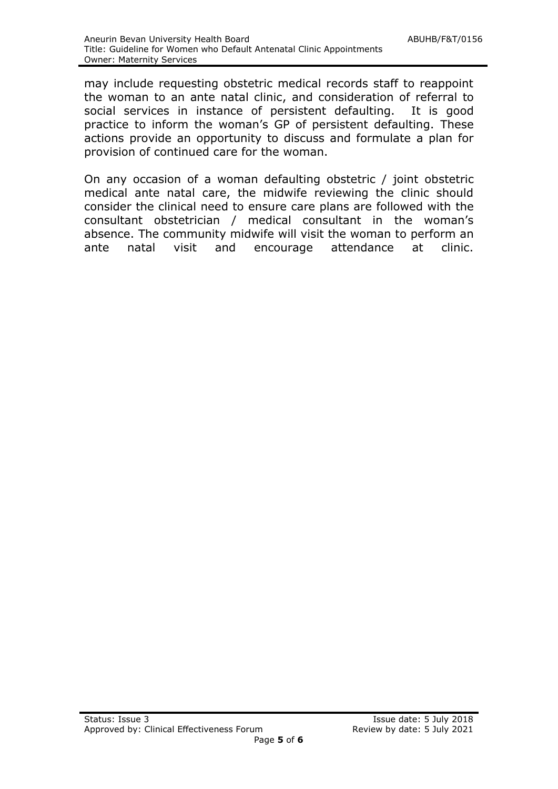may include requesting obstetric medical records staff to reappoint the woman to an ante natal clinic, and consideration of referral to social services in instance of persistent defaulting. It is good practice to inform the woman's GP of persistent defaulting. These actions provide an opportunity to discuss and formulate a plan for provision of continued care for the woman.

On any occasion of a woman defaulting obstetric / joint obstetric medical ante natal care, the midwife reviewing the clinic should consider the clinical need to ensure care plans are followed with the consultant obstetrician / medical consultant in the woman's absence. The community midwife will visit the woman to perform an ante natal visit and encourage attendance at clinic.